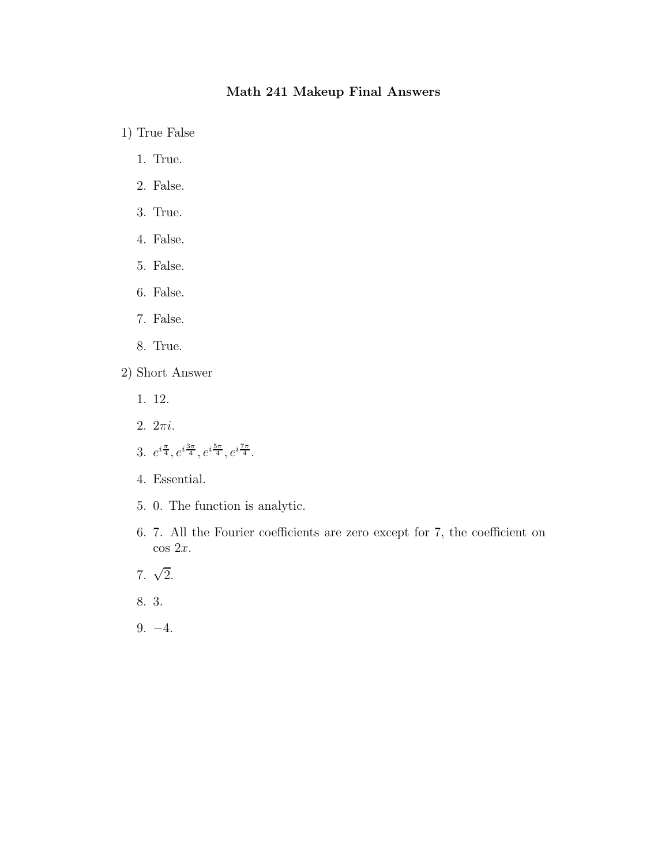## Math 241 Makeup Final Answers

1) True False

- 1. True.
- 2. False.
- 3. True.
- 4. False.
- 5. False.
- 6. False.
- 7. False.
- 8. True.
- 2) Short Answer
	- 1. 12.
	- 2. 2πi.
	- 3.  $e^{i\frac{\pi}{4}}, e^{i\frac{3\pi}{4}}, e^{i\frac{5\pi}{4}}, e^{i\frac{7\pi}{4}}.$
	- 4. Essential.
	- 5. 0. The function is analytic.
	- 6. 7. All the Fourier coefficients are zero except for 7, the coefficient on  $\cos 2x$ .
	- 7.  $\sqrt{2}$ .
	- 8. 3.
	- 9. −4.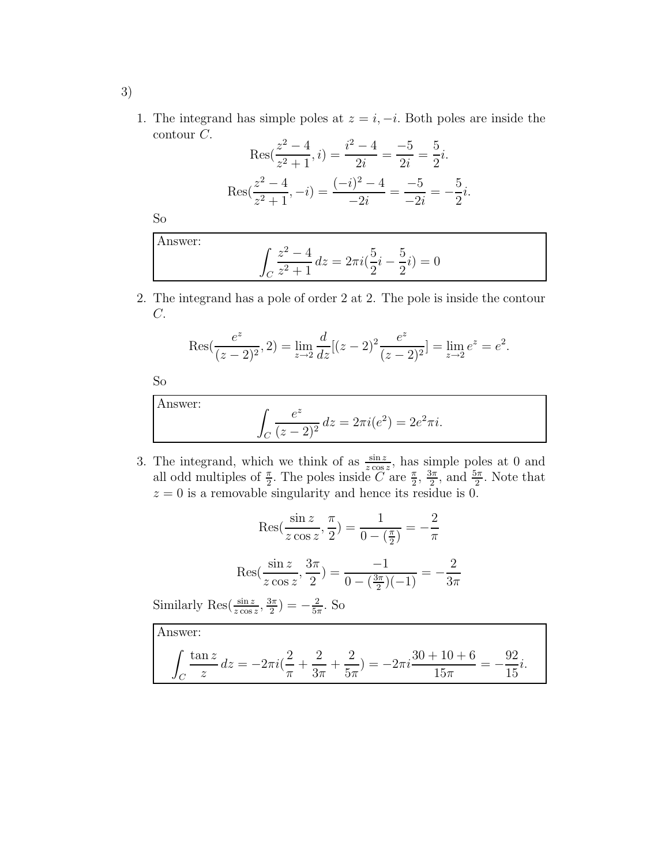1. The integrand has simple poles at  $z = i, -i$ . Both poles are inside the contour C.

$$
\operatorname{Res}(\frac{z^2 - 4}{z^2 + 1}, i) = \frac{i^2 - 4}{2i} = \frac{-5}{2i} = \frac{5}{2}i.
$$

$$
\operatorname{Res}(\frac{z^2 - 4}{z^2 + 1}, -i) = \frac{(-i)^2 - 4}{-2i} = \frac{-5}{-2i} = -\frac{5}{2}i.
$$

So

Answer:  
\n
$$
\int_C \frac{z^2 - 4}{z^2 + 1} dz = 2\pi i \left(\frac{5}{2}i - \frac{5}{2}i\right) = 0
$$

2. The integrand has a pole of order 2 at 2. The pole is inside the contour  $C$ .

$$
Res(\frac{e^z}{(z-2)^2}, 2) = \lim_{z \to 2} \frac{d}{dz} [(z-2)^2 \frac{e^z}{(z-2)^2}] = \lim_{z \to 2} e^z = e^2.
$$

So

Answ

er:  
\n
$$
\int_C \frac{e^z}{(z-2)^2} dz = 2\pi i (e^2) = 2e^2 \pi i.
$$

3. The integrand, which we think of as  $\frac{\sin z}{z \cos z}$ , has simple poles at 0 and all odd multiples of  $\frac{\pi}{2}$ . The poles inside  $\widetilde{C}$  are  $\frac{\pi}{2}$ ,  $\frac{3\pi}{2}$  $\frac{3\pi}{2}$ , and  $\frac{5\pi}{2}$ . Note that  $z = 0$  is a removable singularity and hence its residue is 0.

$$
\operatorname{Res}(\frac{\sin z}{z \cos z}, \frac{\pi}{2}) = \frac{1}{0 - (\frac{\pi}{2})} = -\frac{2}{\pi}
$$

$$
\operatorname{Res}(\frac{\sin z}{z \cos z}, \frac{3\pi}{2}) = \frac{-1}{0 - (\frac{3\pi}{2})(-1)} = -\frac{2}{3\pi}
$$

Similarly Res $(\frac{\sin z}{z \cos z}, \frac{3\pi}{2})$  $\frac{3\pi}{2}) = -\frac{2}{5\pi}$  $\frac{2}{5\pi}$ . So

Answer:  
\n
$$
\int_C \frac{\tan z}{z} dz = -2\pi i (\frac{2}{\pi} + \frac{2}{3\pi} + \frac{2}{5\pi}) = -2\pi i \frac{30 + 10 + 6}{15\pi} = -\frac{92}{15}i.
$$

3)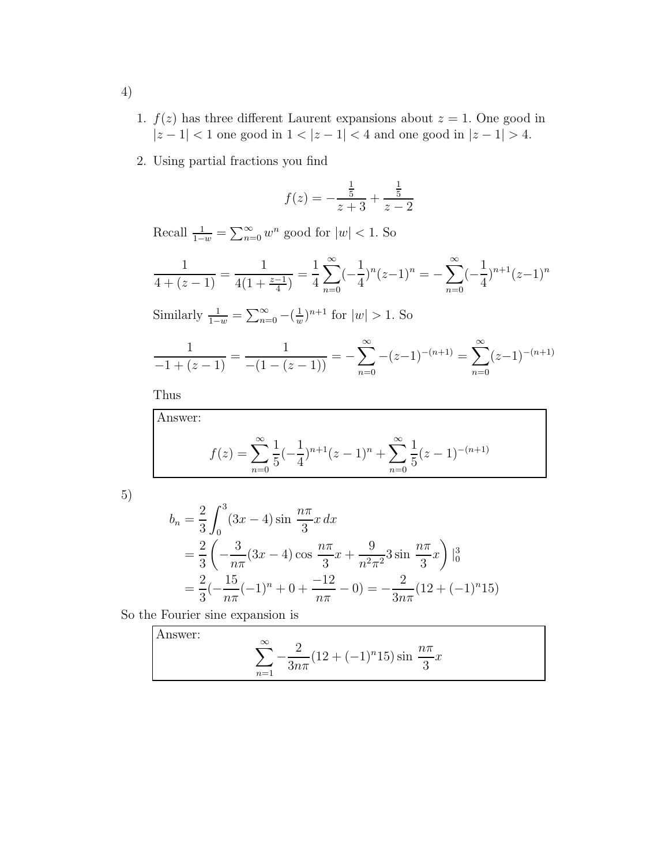- 1.  $f(z)$  has three different Laurent expansions about  $z = 1$ . One good in  $|z-1| < 1$  one good in  $1 < |z-1| < 4$  and one good in  $|z-1| > 4$ .
- 2. Using partial fractions you find

$$
f(z) = -\frac{\frac{1}{5}}{z+3} + \frac{\frac{1}{5}}{z-2}
$$

Recall  $\frac{1}{1-w} = \sum_{n=0}^{\infty} w^n$  good for  $|w| < 1$ . So

$$
\frac{1}{4 + (z - 1)} = \frac{1}{4(1 + \frac{z - 1}{4})} = \frac{1}{4} \sum_{n=0}^{\infty} (-\frac{1}{4})^n (z - 1)^n = -\sum_{n=0}^{\infty} (-\frac{1}{4})^{n+1} (z - 1)^n
$$

Similarly  $\frac{1}{1-w} = \sum_{n=0}^{\infty} -(\frac{1}{w})$  $\frac{1}{w}$ )<sup>n+1</sup> for  $|w| > 1$ . So

$$
\frac{1}{-1+(z-1)} = \frac{1}{-(1-(z-1))} = -\sum_{n=0}^{\infty} -(z-1)^{-(n+1)} = \sum_{n=0}^{\infty} (z-1)^{-(n+1)}
$$

Thus

Answer:  

$$
f(z) = \sum_{n=0}^{\infty} \frac{1}{5} \left( -\frac{1}{4} \right)^{n+1} (z-1)^n + \sum_{n=0}^{\infty} \frac{1}{5} (z-1)^{-(n+1)}
$$

5)

$$
b_n = \frac{2}{3} \int_0^3 (3x - 4) \sin \frac{n\pi}{3} x \, dx
$$
  
=  $\frac{2}{3} \left( -\frac{3}{n\pi} (3x - 4) \cos \frac{n\pi}{3} x + \frac{9}{n^2 \pi^2} 3 \sin \frac{n\pi}{3} x \right) \Big|_0^3$   
=  $\frac{2}{3} \left( -\frac{15}{n\pi} (-1)^n + 0 + \frac{-12}{n\pi} - 0 \right) = -\frac{2}{3n\pi} (12 + (-1)^n 15)$ 

So the Fourier sine expansion is

Answer:  

$$
\sum_{n=1}^{\infty} -\frac{2}{3n\pi} (12 + (-1)^n 15) \sin \frac{n\pi}{3} x
$$

4)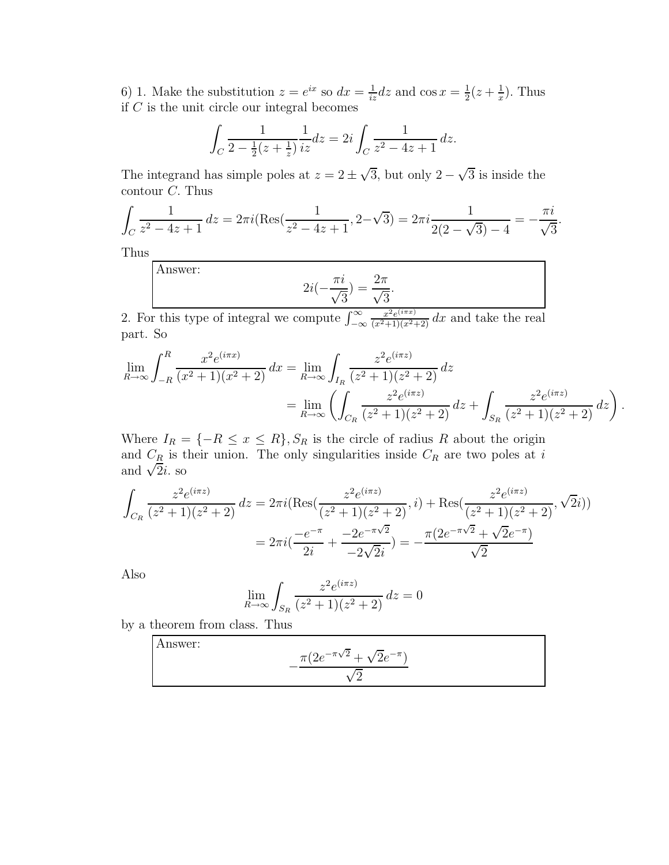6) 1. Make the substitution  $z = e^{ix}$  so  $dx = \frac{1}{iz}dz$  and  $\cos x = \frac{1}{2}$  $rac{1}{2}(z+\frac{1}{x})$  $\frac{1}{x}$ ). Thus if  $C$  is the unit circle our integral becomes

$$
\int_C \frac{1}{2 - \frac{1}{2}(z + \frac{1}{z})} \frac{1}{iz} dz = 2i \int_C \frac{1}{z^2 - 4z + 1} dz.
$$

The integrand has simple poles at  $z = 2 \pm \sqrt{3}$ , but only  $2 - \sqrt{3}$  is inside the contour C. Thus

$$
\int_C \frac{1}{z^2 - 4z + 1} dz = 2\pi i (\text{Res}(\frac{1}{z^2 - 4z + 1}, 2 - \sqrt{3}) = 2\pi i \frac{1}{2(2 - \sqrt{3}) - 4} = -\frac{\pi i}{\sqrt{3}}.
$$

Thus

Answer:

$$
2i(-\frac{\pi i}{\sqrt{3}}) = \frac{2\pi}{\sqrt{3}}.
$$

2. For this type of integral we compute  $\int_{-\infty}^{\infty}$  $\frac{x^2e^{(i\pi x)}}{(x^2+1)(x^2+2)} dx$  and take the real part. So

$$
\lim_{R \to \infty} \int_{-R}^{R} \frac{x^2 e^{(i\pi x)}}{(x^2 + 1)(x^2 + 2)} dx = \lim_{R \to \infty} \int_{I_R} \frac{z^2 e^{(i\pi z)}}{(z^2 + 1)(z^2 + 2)} dz
$$
  
= 
$$
\lim_{R \to \infty} \left( \int_{C_R} \frac{z^2 e^{(i\pi z)}}{(z^2 + 1)(z^2 + 2)} dz + \int_{S_R} \frac{z^2 e^{(i\pi z)}}{(z^2 + 1)(z^2 + 2)} dz \right).
$$

Where  $I_R = \{-R \leq x \leq R\}, S_R$  is the circle of radius R about the origin and  $C_{\underline{R}}$  is their union. The only singularities inside  $C_R$  are two poles at i and  $\sqrt{2}i$ . so

$$
\int_{C_R} \frac{z^2 e^{(i\pi z)}}{(z^2 + 1)(z^2 + 2)} dz = 2\pi i (\text{Res}(\frac{z^2 e^{(i\pi z)}}{(z^2 + 1)(z^2 + 2)}, i) + \text{Res}(\frac{z^2 e^{(i\pi z)}}{(z^2 + 1)(z^2 + 2)}, \sqrt{2}i))
$$

$$
= 2\pi i (\frac{-e^{-\pi}}{2i} + \frac{-2e^{-\pi\sqrt{2}}}{-2\sqrt{2}i}) = -\frac{\pi (2e^{-\pi\sqrt{2}} + \sqrt{2}e^{-\pi})}{\sqrt{2}}
$$

Also

$$
\lim_{R \to \infty} \int_{S_R} \frac{z^2 e^{(i\pi z)}}{(z^2 + 1)(z^2 + 2)} dz = 0
$$

by a theorem from class. Thus

Answer: 
$$
-\frac{\pi (2e^{-\pi \sqrt{2}} + \sqrt{2}e^{-\pi})}{\sqrt{2}}
$$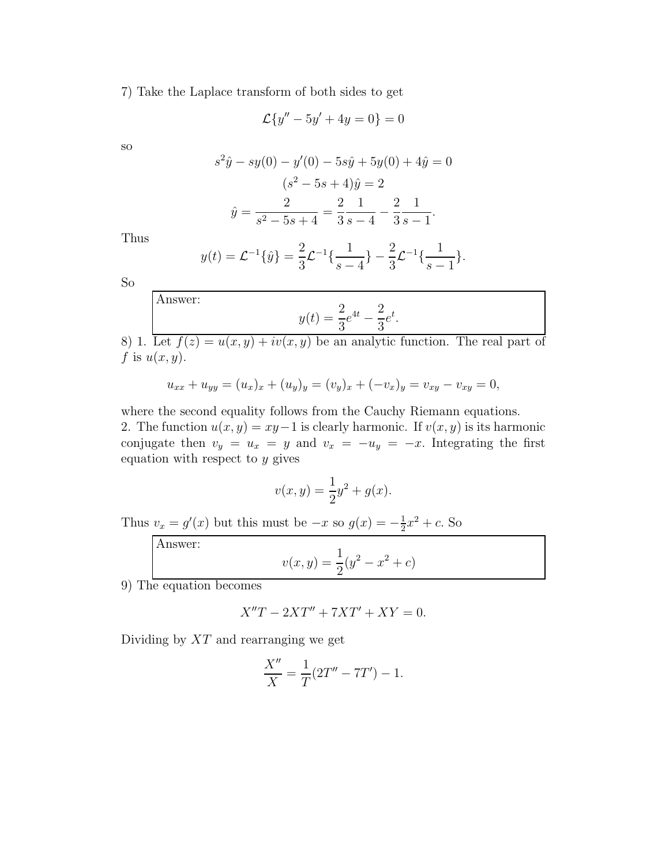7) Take the Laplace transform of both sides to get

$$
\mathcal{L}{y'' - 5y' + 4y = 0} = 0
$$

so

$$
s^{2}\hat{y} - sy(0) - y'(0) - 5s\hat{y} + 5y(0) + 4\hat{y} = 0
$$

$$
(s^{2} - 5s + 4)\hat{y} = 2
$$

$$
\hat{y} = \frac{2}{s^{2} - 5s + 4} = \frac{2}{3} \frac{1}{s - 4} - \frac{2}{3} \frac{1}{s - 1}.
$$

Thus

$$
y(t) = \mathcal{L}^{-1}\{\hat{y}\} = \frac{2}{3}\mathcal{L}^{-1}\{\frac{1}{s-4}\} - \frac{2}{3}\mathcal{L}^{-1}\{\frac{1}{s-1}\}.
$$

So

Answer:

$$
y(t) = \frac{2}{3}e^{4t} - \frac{2}{3}e^t
$$

8) 1. Let  $f(z) = u(x, y) + iv(x, y)$  be an analytic function. The real part of f is  $u(x, y)$ .

.

$$
u_{xx} + u_{yy} = (u_x)_x + (u_y)_y = (v_y)_x + (-v_x)_y = v_{xy} - v_{xy} = 0,
$$

where the second equality follows from the Cauchy Riemann equations. 2. The function  $u(x, y) = xy-1$  is clearly harmonic. If  $v(x, y)$  is its harmonic conjugate then  $v_y = u_x = y$  and  $v_x = -u_y = -x$ . Integrating the first equation with respect to  $y$  gives

$$
v(x, y) = \frac{1}{2}y^2 + g(x).
$$

Thus  $v_x = g'(x)$  but this must be  $-x$  so  $g(x) = -\frac{1}{2}$  $\frac{1}{2}x^2 + c$ . So

Answer:  

$$
v(x,y) = \frac{1}{2}(y^2 - x^2 + c)
$$

9) The equation becomes

$$
X''T - 2XT'' + 7XT' + XY = 0.
$$

Dividing by  $XT$  and rearranging we get

$$
\frac{X''}{X} = \frac{1}{T}(2T'' - 7T') - 1.
$$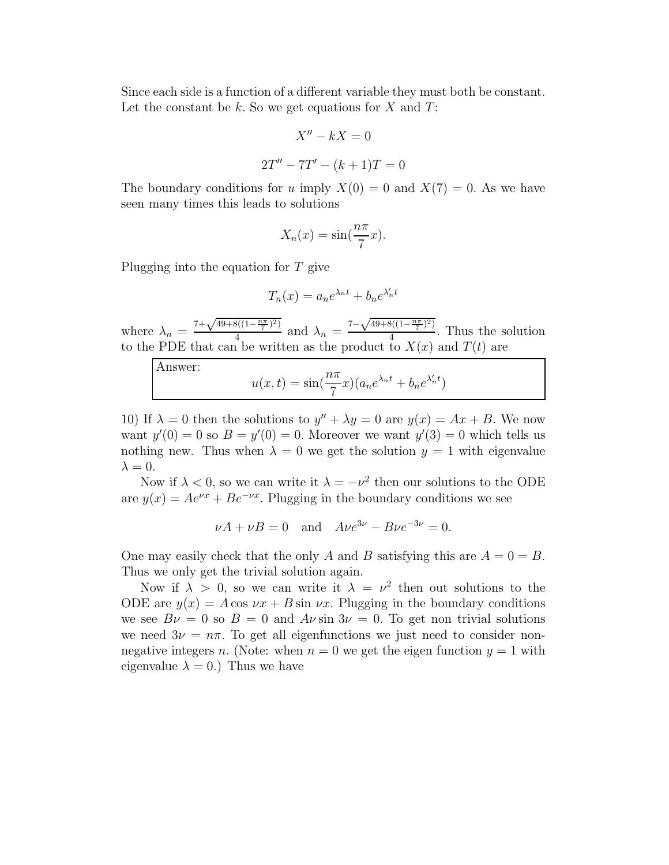Since each side is a function of a different variable they must both be constant. Let the constant be  $k$ . So we get equations for  $X$  and  $T$ :

$$
X'' - kX = 0
$$

$$
2T'' - 7T' - (k+1)T = 0
$$

The boundary conditions for u imply  $X(0) = 0$  and  $X(7) = 0$ . As we have seen many times this leads to solutions

$$
X_n(x) = \sin(\frac{n\pi}{7}x).
$$

Plugging into the equation for T give

$$
T_n(x) = a_n e^{\lambda_n t} + b_n e^{\lambda'_n t}
$$

where  $\lambda_n = \frac{7 + \sqrt{49 + 8((1 - \frac{n\pi}{7})^2)}}{4}$  $\frac{3((1-\frac{n\pi}{7})^2)}{4}$  and  $\lambda_n = \frac{7-\sqrt{49+8((1-\frac{n\pi}{7})^2)}}{4}$  $\frac{9(1-\frac{7}{7})}{4}$ . Thus the solution to the PDE that can be written as the product to  $X(x)$  and  $T(t)$  are

Answer:

$$
u(x,t) = \sin(\frac{n\pi}{7}x)(a_n e^{\lambda_n t} + b_n e^{\lambda'_n t})
$$

10) If  $\lambda = 0$  then the solutions to  $y'' + \lambda y = 0$  are  $y(x) = Ax + B$ . We now want  $y'(0) = 0$  so  $B = y'(0) = 0$ . Moreover we want  $y'(3) = 0$  which tells us nothing new. Thus when  $\lambda = 0$  we get the solution  $y = 1$  with eigenvalue  $\lambda = 0$ .

Now if  $\lambda < 0$ , so we can write it  $\lambda = -\nu^2$  then our solutions to the ODE are  $y(x) = Ae^{\nu x} + Be^{-\nu x}$ . Plugging in the boundary conditions we see

$$
\nu A + \nu B = 0
$$
 and  $A\nu e^{3\nu} - B\nu e^{-3\nu} = 0.$ 

One may easily check that the only A and B satisfying this are  $A = 0 = B$ . Thus we only get the trivial solution again.

Now if  $\lambda > 0$ , so we can write it  $\lambda = \nu^2$  then out solutions to the ODE are  $y(x) = A \cos \nu x + B \sin \nu x$ . Plugging in the boundary conditions we see  $B\nu = 0$  so  $B = 0$  and  $A\nu$  sin  $3\nu = 0$ . To get non trivial solutions we need  $3\nu = n\pi$ . To get all eigenfunctions we just need to consider nonnegative integers n. (Note: when  $n = 0$  we get the eigen function  $y = 1$  with eigenvalue  $\lambda = 0$ .) Thus we have